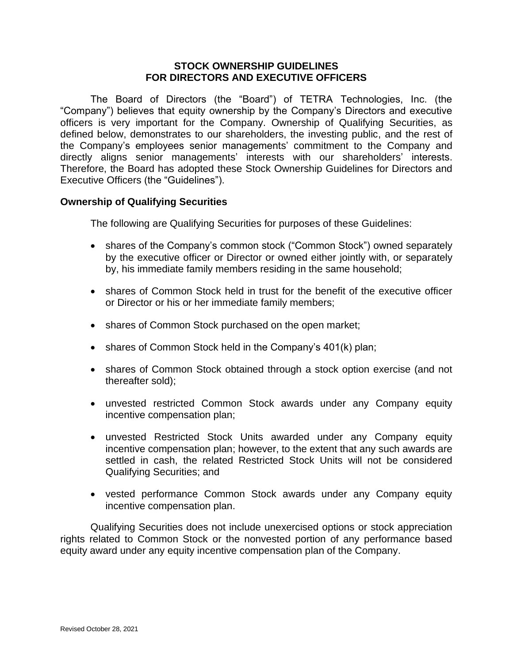### **STOCK OWNERSHIP GUIDELINES FOR DIRECTORS AND EXECUTIVE OFFICERS**

The Board of Directors (the "Board") of TETRA Technologies, Inc. (the "Company") believes that equity ownership by the Company's Directors and executive officers is very important for the Company. Ownership of Qualifying Securities, as defined below, demonstrates to our shareholders, the investing public, and the rest of the Company's employees senior managements' commitment to the Company and directly aligns senior managements' interests with our shareholders' interests. Therefore, the Board has adopted these Stock Ownership Guidelines for Directors and Executive Officers (the "Guidelines").

# **Ownership of Qualifying Securities**

The following are Qualifying Securities for purposes of these Guidelines:

- shares of the Company's common stock ("Common Stock") owned separately by the executive officer or Director or owned either jointly with, or separately by, his immediate family members residing in the same household;
- shares of Common Stock held in trust for the benefit of the executive officer or Director or his or her immediate family members;
- shares of Common Stock purchased on the open market;
- shares of Common Stock held in the Company's 401(k) plan;
- shares of Common Stock obtained through a stock option exercise (and not thereafter sold);
- unvested restricted Common Stock awards under any Company equity incentive compensation plan;
- unvested Restricted Stock Units awarded under any Company equity incentive compensation plan; however, to the extent that any such awards are settled in cash, the related Restricted Stock Units will not be considered Qualifying Securities; and
- vested performance Common Stock awards under any Company equity incentive compensation plan.

Qualifying Securities does not include unexercised options or stock appreciation rights related to Common Stock or the nonvested portion of any performance based equity award under any equity incentive compensation plan of the Company.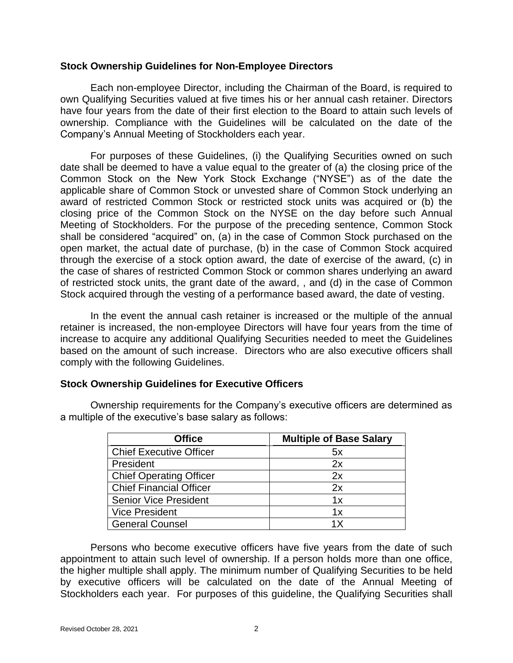#### **Stock Ownership Guidelines for Non-Employee Directors**

Each non-employee Director, including the Chairman of the Board, is required to own Qualifying Securities valued at five times his or her annual cash retainer. Directors have four years from the date of their first election to the Board to attain such levels of ownership. Compliance with the Guidelines will be calculated on the date of the Company's Annual Meeting of Stockholders each year.

For purposes of these Guidelines, (i) the Qualifying Securities owned on such date shall be deemed to have a value equal to the greater of (a) the closing price of the Common Stock on the New York Stock Exchange ("NYSE") as of the date the applicable share of Common Stock or unvested share of Common Stock underlying an award of restricted Common Stock or restricted stock units was acquired or (b) the closing price of the Common Stock on the NYSE on the day before such Annual Meeting of Stockholders. For the purpose of the preceding sentence, Common Stock shall be considered "acquired" on, (a) in the case of Common Stock purchased on the open market, the actual date of purchase, (b) in the case of Common Stock acquired through the exercise of a stock option award, the date of exercise of the award, (c) in the case of shares of restricted Common Stock or common shares underlying an award of restricted stock units, the grant date of the award, , and (d) in the case of Common Stock acquired through the vesting of a performance based award, the date of vesting.

In the event the annual cash retainer is increased or the multiple of the annual retainer is increased, the non-employee Directors will have four years from the time of increase to acquire any additional Qualifying Securities needed to meet the Guidelines based on the amount of such increase. Directors who are also executive officers shall comply with the following Guidelines.

# **Stock Ownership Guidelines for Executive Officers**

Ownership requirements for the Company's executive officers are determined as a multiple of the executive's base salary as follows:

| <b>Office</b>                  | <b>Multiple of Base Salary</b> |
|--------------------------------|--------------------------------|
| <b>Chief Executive Officer</b> | 5x                             |
| President                      | 2x                             |
| <b>Chief Operating Officer</b> | 2x                             |
| <b>Chief Financial Officer</b> | 2x                             |
| <b>Senior Vice President</b>   | 1x                             |
| <b>Vice President</b>          | 1x                             |
| <b>General Counsel</b>         | 1 X                            |

Persons who become executive officers have five years from the date of such appointment to attain such level of ownership. If a person holds more than one office, the higher multiple shall apply. The minimum number of Qualifying Securities to be held by executive officers will be calculated on the date of the Annual Meeting of Stockholders each year. For purposes of this guideline, the Qualifying Securities shall